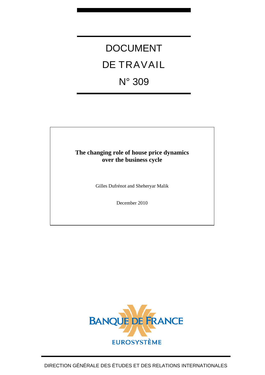# DOCUMENT DE TRAVAIL N° 309

## **The changing role of house price dynamics over the business cycle**

Gilles Dufrénot and Sheheryar Malik

December 2010

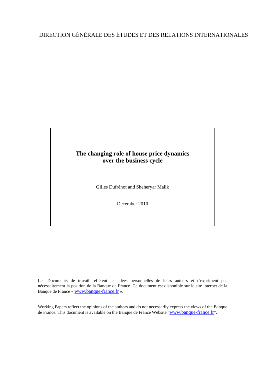## DIRECTION GÉNÉRALE DES ÉTUDES ET DES RELATIONS INTERNATIONALES

# **The changing role of house price dynamics over the business cycle**

Gilles Dufrénot and Sheheryar Malik

December 2010

Les Documents de travail reflètent les idées personnelles de leurs auteurs et n'expriment pas nécessairement la position de la Banque de France. Ce document est disponible sur le site internet de la Banque de France « [www.banque-france.fr](http://www.banque-france.fr/) ».

Working Papers reflect the opinions of the authors and do not necessarily express the views of the Banque de France. This document is available on the Banque de France Website "[www.banque-france.fr](http://www.banque-france.fr/)".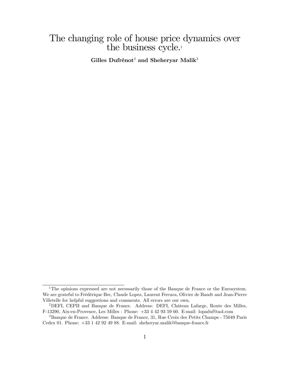# The changing role of house price dynamics over the business cycle.<sup>1</sup>

Gilles  ${\rm Dufr\acute{e}not^2}$  and Sheheryar Malik $^3$ 

<sup>&</sup>lt;sup>1</sup>The opinions expressed are not necessarily those of the Banque de France or the Eurosystem. We are grateful to FrÈdÈrique Bec, Claude Lopez, Laurent Ferrara, Olivier de Bandt and Jean-Pierre Villetelle for helpful suggestions and comments. All errors are our own.

<sup>&</sup>lt;sup>2</sup>DEFI, CEPII and Banque de France. Address: DEFI, Château Lafarge, Route des Milles, F-13290, Aix-en-Provence, Les Milles : Phone: +33 4 42 93 59 60. E-mail: lopaduf@aol.com

<sup>3</sup>Banque de France. Address: Banque de France, 31, Rue Croix des Petits Champs - 75049 Paris Cedex 01. Phone: +33 1 42 92 49 88. E-mail: sheheryar.malik@banque-france.fr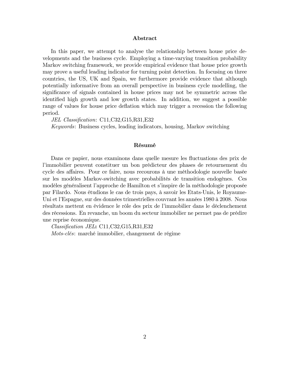#### Abstract

In this paper, we attempt to analyse the relationship between house price developments and the business cycle. Employing a time-varying transition probability Markov switching framework, we provide empirical evidence that house price growth may prove a useful leading indicator for turning point detection. In focusing on three countries, the US, UK and Spain, we furthermore provide evidence that although potentially informative from an overall perspective in business cycle modelling, the significance of signals contained in house prices may not be symmetric across the identified high growth and low growth states. In addition, we suggest a possible range of values for house price deflation which may trigger a recession the following period.

JEL Classification: C11,C32,G15,R31,E32

Keywords: Business cycles, leading indicators, housing, Markov switching

#### Résumé

Dans ce papier, nous examinons dans quelle mesure les fluctuations des prix de l'immobilier peuvent constituer un bon prédicteur des phases de retournement du cycle des affaires. Pour ce faire, nous recourons à une méthodologie nouvelle basée sur les modèles Markov-switching avec probabilités de transition endogènes. Ces modèles généralisent l'approche de Hamilton et s'inspire de la méthodologie proposée par Filardo. Nous étudions le cas de trois pays, à savoir les Etats-Unis, le Royaume-Uni et l'Espagne, sur des données trimestrielles couvrant les années 1980 à 2008. Nous résultats mettent en évidence le rôle des prix de l'immobilier dans le déclenchement des récessions. En revanche, un boom du secteur immobilier ne permet pas de prédire une reprise Èconomique.

Classification JEL: C11,C32,G15,R31,E32

Mots-clés: marché immobilier, changement de régime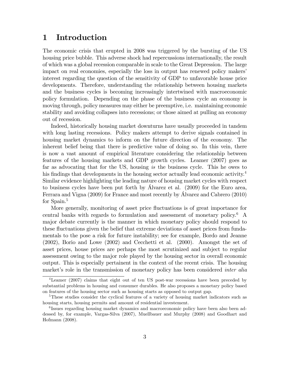## 1 Introduction

The economic crisis that erupted in 2008 was triggered by the bursting of the US housing price bubble. This adverse shock had repercussions internationally, the result of which was a global recession comparable in scale to the Great Depression. The large impact on real economies, especially the loss in output has renewed policy makers<sup>'</sup> interest regarding the question of the sensitivity of GDP to unfavorable house price developments. Therefore, understanding the relationship between housing markets and the business cycles is becoming increasingly intertwined with macroeconomic policy formulation. Depending on the phase of the business cycle an economy is moving through, policy measures may either be preemptive, i.e. maintaining economic stability and avoiding collapses into recessions; or those aimed at pulling an economy out of recession.

Indeed, historically housing market downturns have usually proceeded in tandem with long lasting recessions. Policy makers attempt to derive signals contained in housing market dynamics to inform on the future direction of the economy. The inherent belief being that there is predictive value of doing so. In this vein, there is now a vast amount of empirical literature considering the relationship between features of the housing markets and GDP growth cycles. Leamer (2007) goes as far as advocating that for the US, housing is the business cycle. This he owes to his findings that developments in the housing sector actually lead economic activity.<sup>4</sup> Similar evidence highlighting the leading nature of housing market cycles with respect to business cycles have been put forth by £lvarez et al. (2009) for the Euro area, Ferrara and Vigna (2009) for France and most recently by £lvarez and Cabrero (2010) for Spain.<sup>5</sup>

More generally, monitoring of asset price fluctuations is of great importance for central banks with regards to formulation and assessment of monetary policy.<sup>6</sup> A major debate currently is the manner in which monetary policy should respond to these fluctuations given the belief that extreme deviations of asset prices from fundamentals to the pose a risk for future instability; see for example, Bordo and Jeanne (2002), Borio and Lowe (2002) and Cecchetti et al. (2000). Amongst the set of asset prices, house prices are perhaps the most scrutinized and subject to regular assessment owing to the major role played by the housing sector in overall economic output. This is especially pertainent in the context of the recent crisis. The housing market's role in the transmission of monetary policy has been considered *inter alia* 

<sup>&</sup>lt;sup>4</sup>Leamer (2007) claims that eight out of ten US post-war recessions have been preceded by substantial problems in housing and consumer durables. He also proposes a monetary policy based on features of the housing sector such as housing starts as opposed to output gap.

<sup>5</sup>These studies consider the cyclical features of a variety of housing market indicators such as housing starts, housing permits and amount of residential investement.

<sup>&</sup>lt;sup>6</sup>Issues regarding housing market dynamics and macroeconomic policy have been also been addessed by, for example, Vargas-Silva (2007), Muellbauer and Murphy (2008) and Goodhart and Hofmann (2008).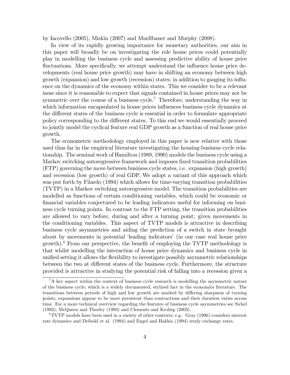by Iacovello (2005), Miskin (2007) and Muellbauer and Murphy (2008).

In view of its rapidly growing importance for monetary authorities, our aim in this paper will broadly be on investigating the role house prices could potentially play in modelling the business cycle and assessing predictive ability of house price fluctuations. More specifically, we attempt understand the influence house price developments (real house price growth) may have in shifting an economy between high growth (expansion) and low growth (recession) states; in addition to gauging its ináuence on the dynamics of the economy within states. This we consider to be a relevant issue since it is reasonable to expect that signals contained in house prices may not be symmetric over the course of a business cycle.<sup>7</sup> Therefore, understanding the way in which information encapsulated in house prices influences business cycle dynamics at the different states of the business cycle is essential in order to formulate appropriate policy corresponding to the different states. To this end we would essentially proceed to jointly model the cyclical feature real GDP growth as a function of real house price growth.

The econometric methodology employed in this paper is new relative with those used thus far in the empirical literature investigating the housing-business cycle relationship. The seminal work of Hamilton (1989, 1990) models the business cycle using a Markov switching autoregressive framework and imposes fixed transition probabilities (FTP) governing the move between business cycle states, i.e. expansion (high growth) and recession (low growth) of real GDP. We adopt a variant of this approach which was put forth by Filardo (1994) which allows for time-varying transition probabilities (TVTP) in a Markov switching autoregressive model. The transition probabilities are modelled as functions of certain conditioning variables, which could be economic or financial variables conjectured to be leading indicators useful for informing on business cycle turning points. In contrast to the FTP setting, the transition probabilities are allowed to vary before, during and after a turning point; given movements in the conditioning variables. This aspect of TVTP models is attractive in describing business cycle asymmetries and aiding the prediction of a switch in state brought about by movements in potential 'leading indicators' (in our case real house price growth).<sup>8</sup> From our perspective, the benefit of employing the TVTP methodology is that whilst modelling the interaction of house price dynamics and business cycle in unified setting it allows the flexibility to investigate possibly asymmetric relationships between the two at different states of the business cycle. Furthermore, the structure provided is attractive in studying the potential risk of falling into a recession given a

<sup>&</sup>lt;sup>7</sup>A key aspect within the context of business cycle research is modelling the asymmetric nature of the business cycle; which is a widely documented, stylized fact in the economics literature. The transitions between periods of high and low growth are marked by differing sharpness of turning points, expansions appear to be more persistent than contractions and their duration varies across time. For a more technical overview regarding the features of business cycle asymmetries see Sichel (1993), McQueen and Thorley (1993) and Clements and Krolzig (2003).

 $8$ TVTP models have been used in a variety of other contexts; e.g. Gray (1996) considers interest rate dynamics and Deibold et al. (1994) and Engel and Hakkio (1994) study exchange rates.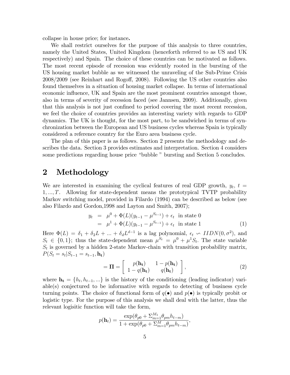collapse in house price; for instance.

We shall restrict ourselves for the purpose of this analysis to three countries, namely the United States, United Kingdom (henceforth referred to as US and UK respectively) and Spain. The choice of these countries can be motivated as follows. The most recent episode of recession was evidently rooted in the bursting of the US housing market bubble as we witnessed the unraveling of the Sub-Prime Crisis 2008/2009 (see Reinhart and Rogoff, 2008). Following the US other countries also found themselves in a situation of housing market collapse. In terms of international economic influence, UK and Spain are the most prominent countries amongst those, also in terms of severity of recession faced (see Jannsen, 2009). Additionally, given that this analysis is not just confined to period covering the most recent recession, we feel the choice of countries provides an interesting variety with regards to GDP dynamics. The UK is thought, for the most part, to be sandwiched in terms of synchronization between the European and US business cycles whereas Spain is typically considered a reference country for the Euro area business cycle.

The plan of this paper is as follows. Section 2 presents the methodology and describes the data. Section 3 provides estimates and interpretation. Section 4 considers some predictions regarding house price "bubble " bursting and Section 5 concludes.

## 2 Methodology

We are interested in examining the cyclical features of real GDP growth,  $y_t$ ,  $t =$  $1, \ldots, T$ . Allowing for state-dependent means the prototypical TVTP probability Markov switching model, provided in Filardo (1994) can be described as below (see also Filardo and Gordon,1998 and Layton and Smith, 2007);

$$
y_t = \mu^0 + \Phi(L)(y_{t-1} - \mu^{S_{t-1}}) + \epsilon_t \text{ in state 0}
$$
  
= 
$$
\mu^1 + \Phi(L)(y_{t-1} - \mu^{S_{t-1}}) + \epsilon_t \text{ in state 1}
$$
 (1)

Here  $\Phi(L) = \delta_1 + \delta_2 L + ... + \delta_d L^{d-1}$  is a lag polynomial,  $\epsilon_t \backsim \text{IIDN}(0, \sigma^2)$ , and  $S_t \in \{0, 1\}$ ; thus the state-dependent mean  $\mu^{S_t} = \mu^0 + \mu^1 S_t$ . The state variable  $S_t$  is governed by a hidden 2-state Markov-chain with transition probability matrix,  $P(S_t = s_t | S_{t-1} = s_{t-1}, \mathbf{h_t})$ 

$$
= \Pi = \begin{bmatrix} p(\mathbf{h_t}) & 1 - p(\mathbf{h_t}) \\ 1 - q(\mathbf{h_t}) & q(\mathbf{h_t}) \end{bmatrix},
$$
(2)

where  $\mathbf{h}_{t} = \{h_t, h_{t-1}, ...\}$  is the history of the conditioning (leading indicator) variable(s) conjectured to be informative with regards to detecting of business cycle turning points. The choice of functional form of  $q(\bullet)$  and  $p(\bullet)$  is typically probit or logistic type. For the purpose of this analysis we shall deal with the latter, thus the relevant logisitic function will take the form,

$$
p(\mathbf{h}_t) = \frac{\exp(\theta_{p0} + \sum_{m=1}^{M_1} \theta_{pm} h_{t-m})}{1 + \exp(\theta_{p0} + \sum_{m=1}^{M} \theta_{pm} h_{t-m})},
$$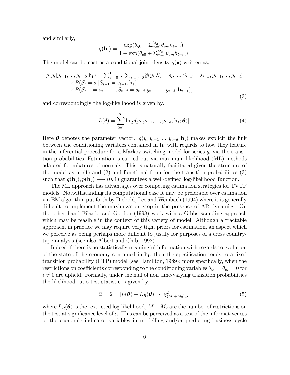and similarly,

$$
q(\mathbf{h}_t) = \frac{\exp(\theta_{q0} + \sum_{m=1}^{M_2} \theta_{qm} h_{t-m})}{1 + \exp(\theta_{q0} + \sum_{m=1}^{M_2} \theta_{qm} h_{t-m})}.
$$

The model can be cast as a conditional-joint density  $q(\bullet)$  written as,

$$
g(y_t|y_{t-1},...,y_{t-d},\mathbf{h_t}) = \sum_{s_t=0}^{1} ... \sum_{s_{t-d}=0}^{1} \widehat{g}(y_t|S_t = s_t,...,S_{t-d} = s_{t-d}, y_{t-1},...,y_{t-d})
$$
  
× $P(S_t = s_t|S_{t-1} = s_{t-1}, \mathbf{h_t})$   
× $P(S_{t-1} = s_{t-1},...,S_{t-d} = s_{t-d}|y_{t-1},...,y_{t-d}, \mathbf{h_{t-1}}),$ \n(3)

and correspondingly the log-likelihood is given by;

$$
L(\theta) = \sum_{t=1}^{T} \ln[g(y_t|y_{t-1},...,y_{t-d},\mathbf{h_t};\theta)].
$$
\n(4)

Here  $\theta$  denotes the parameter vector.  $g(y_t|y_{t-1},..., y_{t-d}, \mathbf{h_t})$  makes explicit the link between the conditioning variables contained in  $h_t$  with regards to how they feature in the inferential procedure for a Markov switching model for series  $y_t$  via the transition probabilities: Estimation is carried out via maximum likelihood (ML) methods adapted for mixtures of normals. This is naturally facilitated given the structure of the model as in  $(1)$  and  $(2)$  and functional form for the transition probabilities  $(3)$ such that  $q(\mathbf{h_t}), p(\mathbf{h_t}) \longrightarrow (0, 1)$  guarantees a well-defined log-likelihood function.

The ML approach has advantages over competing estimation strategies for TVTP models. Notwithstanding its computational ease it may be preferable over estimation via EM algorithm put forth by Diebold, Lee and Weinbach (1994) where it is generally difficult to implement the maximization step in the presence of AR dynamics. On the other hand Filardo and Gordon (1998) work with a Gibbs sampling approach which may be feasible in the context of this variety of model. Although a tractable approach, in practice we may require very tight priors for estimation, an aspect which we perceive as being perhaps more difficult to justify for purposes of a cross countrytype analysis (see also Albert and Chib, 1992).

Indeed if there is no statistically meaningful information with regards to evolution of the state of the economy contained in  $\mathbf{h}_t$ , then the specification tends to a fixed transition probability (FTP) model (see Hamilton, 1989); more specifically, when the restrictions on coefficients corresponding to the conditioning variables  $\theta_{pi} = \theta_{qi} = 0$  for  $i \neq 0$  are upheld. Formally, under the null of non time-varying transition probabilities the likelihood ratio test statistic is given by,

$$
\Xi = 2 \times [L(\boldsymbol{\theta}) - L_R(\boldsymbol{\theta})] \backsim \chi^2_{(M_1 + M_2), \alpha} \tag{5}
$$

where  $L_R(\theta)$  is the restricted log-likelihood,  $M_1+M_2$  are the number of restrictions on the test at significance level of  $\alpha$ . This can be perceived as a test of the informativeness of the economic indicator variables in modelling and/or predicting business cycle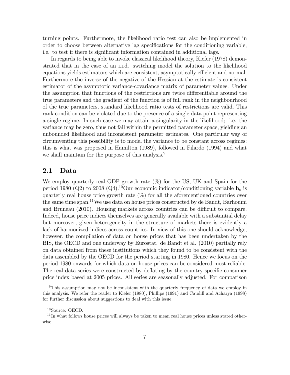turning points. Furthermore, the likelihood ratio test can also be implemented in order to choose between alternative lag specifications for the conditioning variable, i.e. to test if there is significant information contained in additional lags.

In regards to being able to invoke classical likelihood theory, Kiefer (1978) demonstrated that in the case of an i.i.d. switching model the solution to the likelihood equations yields estimators which are consistent, asymptotically efficient and normal. Furthermore the inverse of the negative of the Hessian at the estimate is consistent estimator of the asymptotic variance-covariance matrix of parameter values. Under the assumption that functions of the restrictions are twice differentiable around the true parameters and the gradient of the function is of full rank in the neighbourhood of the true parameters, standard likelihood ratio tests of restrictions are valid. This rank condition can be violated due to the presence of a single data point representing a single regime. In such case we may attain a singularity in the likelihood; i.e. the variance may be zero, thus not fall within the permitted parameter space, yielding an unbounded likelihood and inconsistent parameter estimates. One particular way of circumventing this possibility is to model the variance to be constant across regimes; this is what was proposed in Hamilton (1989), followed in Filardo (1994) and what we shall maintain for the purpose of this analysis.<sup>9</sup>

### 2.1 Data

We employ quarterly real GDP growth rate  $(\%)$  for the US, UK and Spain for the period 1980 (Q2) to 2008 (Q4).<sup>10</sup>Our economic indicator/conditioning variable  $h_t$  is quarterly real house price growth rate  $(\%)$  for all the aforementioned countries over the same time span.<sup>11</sup>We use data on house prices constructed by de Bandt, Barhoumi and Bruneau  $(2010)$ . Housing markets across countries can be difficult to compare. Indeed, house price indices themselves are generally available with a substantial delay but moreover, given heterogeneity in the structure of markets there is evidently a lack of harmonized indices across countries. In view of this one should acknowledge, however, the compilation of data on house prices that has been undertaken by the BIS, the OECD and one underway by Eurostat. de Bandt et al. (2010) partially rely on data obtained from these institutions which they found to be consistent with the data assembled by the OECD for the period starting in 1980. Hence we focus on the period 1980 onwards for which data on house prices can be considered most reliable. The real data series were constructed by deflating by the country-specific consumer price index based at 2005 prices. All series are seasonally adjusted. For comparison

<sup>&</sup>lt;sup>9</sup>This assumption may not be inconsistent with the quarterly frequency of data we employ in this analysis. We refer the reader to Kiefer (1980), Phillips (1991) and Caudill and Acharya (1998) for further discussion about suggestions to deal with this issue.

<sup>&</sup>lt;sup>10</sup>Source: OECD.

<sup>&</sup>lt;sup>11</sup>In what follows house prices will always be taken to mean real house prices unless stated otherwise.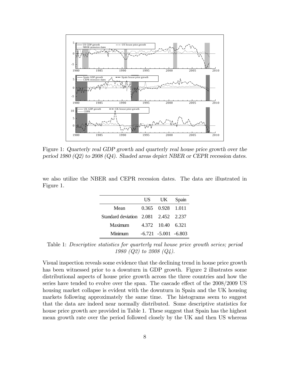

Figure 1: Quarterly real GDP growth and quarterly real house price growth over the period 1980 (Q2) to 2008 (Q4). Shaded areas depict NBER or CEPR recession dates.

we also utilize the NBER and CEPR recession dates. The data are illustrated in Figure 1.

|                                      | US – | UK.                      | Spain |  |
|--------------------------------------|------|--------------------------|-------|--|
| Mean                                 |      | 0.365 0.928 1.011        |       |  |
| Standard deviation 2.081 2.452 2.237 |      |                          |       |  |
| Maximum                              |      | 4.372 10.40 6.321        |       |  |
| Minimum                              |      | $-6.721 - 5.001 - 6.803$ |       |  |

Table 1: Descriptive statistics for quarterly real house price growth series; period 1980 (Q2) to 2008 (Q4).

Visual inspection reveals some evidence that the declining trend in house price growth has been witnessed prior to a downturn in GDP growth. Figure 2 illustrates some distributional aspects of house price growth across the three countries and how the series have tended to evolve over the span. The cascade effect of the  $2008/2009$  US housing market collapse is evident with the downturn in Spain and the UK housing markets following approximately the same time. The histograms seem to suggest that the data are indeed near normally distributed. Some descriptive statistics for house price growth are provided in Table 1. These suggest that Spain has the highest mean growth rate over the period followed closely by the UK and then US whereas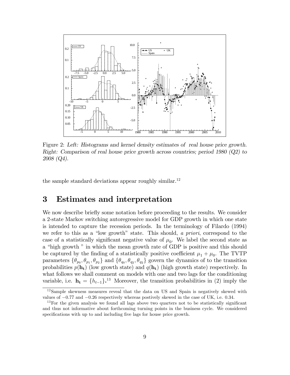

Figure 2: Left: Histograms and kernel density estimates of real house price growth. Right: Comparison of real house price growth across countries; period 1980 (Q2) to 2008 (Q4).

the sample standard deviations appear roughly similar.<sup>12</sup>

## 3 Estimates and interpretation

We now describe briefly some notation before proceeding to the results. We consider a 2-state Markov switching autoregressive model for GDP growth in which one state is intended to capture the recession periods. In the terminology of Filardo (1994) we refer to this as a "low growth" state. This should, a priori, correspond to the case of a statistically significant negative value of  $\mu_0$ . We label the second state as a "high growth " in which the mean growth rate of GDP is positive and this should be captured by the finding of a statistically positive coefficient  $\mu_1 + \mu_0$ . The TVTP parameters  $\{\theta_{p_0}, \theta_{p_1}, \theta_{p_2}\}\$  and  $\{\theta_{q_0}, \theta_{q_2}, \theta_{q_2}\}\$  govern the dynamics of to the transition probabilities  $p(\mathbf{h_t})$  (low growth state) and  $q(\mathbf{h_t})$  (high growth state) respectively. In what follows we shall comment on models with one and two lags for the conditioning variable, i.e.  $\mathbf{h}_{t} = \{h_{t-1}\}\text{.}^{13}$  Moreover, the transition probabilities in (2) imply the

<sup>12</sup>Sample skewness measures reveal that the data on US and Spain is negatively skewed with values of  $-0.77$  and  $-0.26$  respectively whereas postively skewed in the case of UK, i.e. 0.34.

 $13$  For the given analysis we found all lags above two quarters not to be statistically significant and thus not informative about forthcoming turning points in the business cycle. We considered specifications with up to and including five lags for house price growth.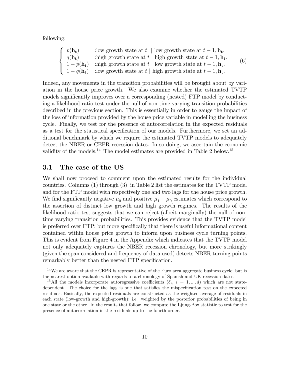following;

$$
\begin{cases}\n p(\mathbf{h_t}) & \text{:low growth state at } t \mid \text{low growth state at } t - 1, \mathbf{h_t.} \\
q(\mathbf{h_t}) & \text{:high growth state at } t \mid \text{high growth state at } t - 1, \mathbf{h_t.} \\
1 - p(\mathbf{h_t}) & \text{:high growth state at } t \mid \text{low growth state at } t - 1, \mathbf{h_t.} \\
1 - q(\mathbf{h_t}) & \text{:low growth state at } t \mid \text{high growth state at } t - 1, \mathbf{h_t.}\n\end{cases}\n\tag{6}
$$

Indeed, any movements in the transition probabilities will be brought about by variation in the house price growth. We also examine whether the estimated TVTP models significantly improves over a corresponding (nested) FTP model by conducting a likelihood ratio test under the null of non time-varying transition probabilities described in the previous section. This is essentially in order to gauge the impact of the loss of information provided by the house price variable in modelling the business cycle. Finally, we test for the presence of autocorrelation in the expected residuals as a test for the statistical specification of our models. Furthermore, we set an additional benchmark by which we require the estimated TVTP models to adequately detect the NBER or CEPR recession dates. In so doing, we ascertain the economic validity of the models.<sup>14</sup> The model estimates are provided in Table 2 below.<sup>15</sup>

#### 3.1 The case of the US

We shall now proceed to comment upon the estimated results for the individual countries. Columns (1) through (3) in Table 2 list the estimates for the TVTP model and for the FTP model with respectively one and two lags for the house price growth. We find significantly negative  $\mu_0$  and positive  $\mu_1 + \mu_0$  estimates which correspond to the assertion of distinct low growth and high growth regimes. The results of the likelihood ratio test suggests that we can reject (albeit marginally) the null of nontime varying transition probabilities. This provides evidence that the TVTP model is preferred over FTP; but more specifically that there is useful informational content contained within house price growth to inform upon business cycle turning points. This is evident from Figure 4 in the Appendix which indicates that the TVTP model not only adequately captures the NBER recession chronology, but more strikingly (given the span considered and frequency of data used) detects NBER turning points remarkably better than the nested FTP specification.

<sup>&</sup>lt;sup>14</sup>We are aware that the CEPR is representative of the Euro area aggregate business cycle; but is the nearest option available with regards to a chronology of Spanish and UK recession dates.

<sup>&</sup>lt;sup>15</sup>All the models incorporate autoregressive coefficients  $(\delta_i, i = 1, ..., d)$  which are not statedependent. The choice for the lags is one that satisfies the mispecification test on the expected residuals. Basically, the expected residuals are constructed as the weighted average of residuals in each state (low-growth and high-growth); i.e. weighted by the posterior probabilities of being in one state or the other. In the results that follow, we compute the Ljung-Box statistic to test for the presence of autocorrelation in the residuals up to the fourth-order.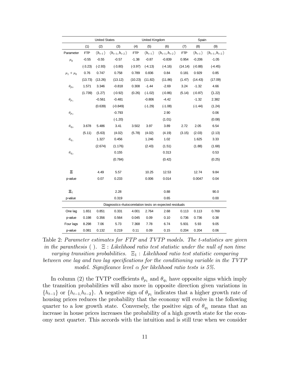|                 | <b>United States</b> |                |                         | United Kingdom |                |                                                         | Spain      |                |                         |
|-----------------|----------------------|----------------|-------------------------|----------------|----------------|---------------------------------------------------------|------------|----------------|-------------------------|
|                 | (1)                  | (2)            | (3)                     | (4)            | (5)            | (6)                                                     | (7)        | (8)            | (9)                     |
| Parameter       | <b>FTP</b>           | $\{h_{t-1}\}\$ | $\{h_{t-1}, h_{t-2}\}\$ | <b>FTP</b>     | $\{h_{t-1}\}\$ | $\{h_{t-1}, h_{t-2}\}\$                                 | <b>FTP</b> | $\{h_{t-1}\}\$ | $\{h_{t-1}, h_{t-2}\}\$ |
| $\mu_0$         | $-0.55$              | $-0.55$        | $-0.57$                 | $-1.38$        | $-0.87$        | $-0.839$                                                | 0.954      | $-0.206$       | $-1.05$                 |
|                 | $(-3.23)$            | $(-2.93)$      | $(-3.80)$               | $(-3.97)$      | $(-4.13)$      | $(-4.16)$                                               | (14.14)    | $(-0.88)$      | $(-4.45)$               |
| $\mu_1 + \mu_0$ | 0.76                 | 0.747          | 0.758                   | 0.789          | 0.836          | 0.84                                                    | 0.181      | 0.929          | 0.85                    |
|                 | (13.73)              | (13.26)        | (13.12)                 | (10.23)        | (11.82)        | (11.86)                                                 | (1.47)     | (14.43)        | (17.09)                 |
| $\theta_{p_0}$  | 1.571                | 3.346          | $-0.818$                | 0.308          | $-1.44$        | $-2.69$                                                 | 3.24       | $-1.32$        | 4.66                    |
|                 | (1.739)              | (1.27)         | $(-0.92)$               | (0.26)         | $(-1.02)$      | $(-0.86)$                                               | (5.14)     | $(-0.87)$      | (1.22)                  |
| $\theta_{P1}$   |                      | $-0.561$       | $-0.481$                |                | $-0.806$       | $-4.42$                                                 |            | $-1.32$        | 2.382                   |
|                 |                      | (0.639)        | $(-0.849)$              |                | $(-1.29)$      | $(-1.08)$                                               |            | $(-1.44)$      | (1.24)                  |
| $\theta_{p_2}$  |                      |                | $-0.793$                |                |                | 2.90                                                    |            |                | 0.06                    |
|                 |                      |                | $(-1.20)$               |                |                | (1.01)                                                  |            |                | (0.08)                  |
| $\theta_{q_0}$  | 3.678                | 5.486          | 3.41                    | 3.502          | 3.97           | 3.89                                                    | 2.72       | 2.05           | 6.54                    |
|                 | (5.11)               | (5.63)         | (4.02)                  | (5.78)         | (4.02)         | (4.19)                                                  | (3.15)     | (2.03)         | (2.13)                  |
| $\theta_{q_1}$  |                      | 1.327          | 0.456                   |                | 1.246          | 1.02                                                    |            | 1.625          | 3.33                    |
|                 |                      | (2.674)        | (1.176)                 |                | (2.43)         | (1.51)                                                  |            | (1.88)         | (1.68)                  |
| $\theta_{q_2}$  |                      |                | 0.155                   |                |                | 0.313                                                   |            |                | 0.53                    |
|                 |                      |                | (0.784)                 |                |                | (0.42)                                                  |            |                | (0.25)                  |
|                 |                      |                |                         |                |                |                                                         |            |                |                         |
| Ξ               |                      | 4.49           | 5.57                    |                | 10.25          | 12.53                                                   |            | 12.74          | 9.84                    |
| p-value         |                      | 0.07           | 0.233                   |                | 0.006          | 0.014                                                   |            | 0.0047         | 0.04                    |
|                 |                      |                |                         |                |                |                                                         |            |                |                         |
| $\Xi_1$         |                      |                | 2.28                    |                |                | 0.88                                                    |            |                | 90.0                    |
| p-value         |                      |                | 0.319                   |                |                | 0.65                                                    |            |                | 0.00                    |
|                 |                      |                |                         |                |                | Diagnostics-Autocorrelation tests on expected residuals |            |                |                         |
| One lag         | 1.651                | 0.851          | 0.331                   | 4.001          | 2.764          | 2.68                                                    | 0.113      | 0.113          | 0.769                   |
| p-value         | 0.198                | 0.356          | 0.564                   | 0.045          | 0.09           | 0.10                                                    | 0.736      | 0.736          | 0.38                    |
| Four lags       | 8.298                | 7.06           | 5.73                    | 7.368          | 7.78           | 6.74                                                    | 5.931      | 5.93           | 9.05                    |
| p-value         | 0.081                | 0.132          | 0.219                   | 0.11           | 0.09           | 0.15                                                    | 0.204      | 0.204          | 0.06                    |

Table 2: Parameter estimates for FTP and TVTP models. The t-statistics are given in the paranthesis ( ).  $\Xi$ : Likelihood ratio test statistic under the null of non time varying transition probabilities.  $\Xi_1$ : Likelihood ratio test statistic comparing between one lag and two lag specifications for the conditioning variable in the  $T V T P$ model. Significance level  $\alpha$  for likelihood ratio tests is 5%.

In column (2) the TVTP coefficients  $\theta_{p_1}$  and  $\theta_{q_1}$  have opposite signs which imply the transition probabilities will also move in opposite direction given variations in  $\{h_{t-1}\}\$  or  $\{h_{t-1}, h_{t-2}\}\$ . A negative sign of  $\theta_{p_1}$  indicates that a higher growth rate of housing prices reduces the probability that the economy will evolve in the following quarter to a low growth state. Conversely, the positive sign of  $\theta_{q_1}$  means that an increase in house prices increases the probability of a high growth state for the economy next quarter. This accords with the intuition and is still true when we consider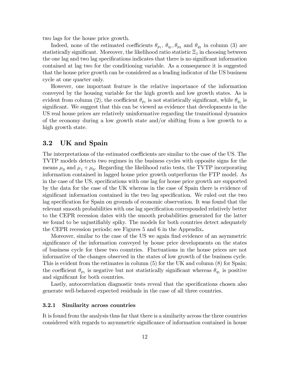two lags for the house price growth.

Indeed, none of the estimated coefficients  $\theta_{p_1}, \theta_{q_1}, \theta_{p_2}$  and  $\theta_{q_2}$  in column (3) are statistically significant. Moreover, the likelihood ratio statistic  $\Xi_1$  in choosing between the one lag and two lag specifications indicates that there is no significant information contained at lag two for the conditioning variable. As a consequence it is suggested that the house price growth can be considered as a leading indicator of the US business cycle at one quarter only.

However, one important feature is the relative importance of the information conveyed by the housing variable for the high growth and low growth states. As is evident from column (2), the coefficient  $\theta_{p_1}$  is not statistically significant, while  $\theta_{q_1}$  is significant. We suggest that this can be viewed as evidence that developments in the US real house prices are relatively uninformative regarding the transitional dynamics of the economy during a low growth state and/or shifting from a low growth to a high growth state.

### 3.2 UK and Spain

The interpretations of the estimated coefficients are similar to the case of the US. The TVTP models detects two regimes in the business cycles with opposite signs for the means  $\mu_0$  and  $\mu_1 + \mu_0$ . Regarding the likelihood ratio tests, the TVTP incorporating information contained in lagged house price growth outperforms the FTP model. As in the case of the US, specifications with one lag for house price growth are supported by the data for the case of the UK whereas in the case of Spain there is evidence of significant information contained in the two lag specification. We ruled out the two lag specification for Spain on grounds of economic observation. It was found that the relevant smooth probabilities with one lag specification corresponded relatively better to the CEPR recession dates with the smooth probabilities generated for the latter we found to be unjustifiably spiky. The models for both countries detect adequately the CEPR recession periods; see Figures 5 and 6 in the Appendix.

Moreover, similar to the case of the US we again Önd evidence of an asymmetric significance of the information conveyed by house price developments on the states of business cycle for these two countries. Fluctuations in the house prices are not informative of the changes observed in the states of low growth of the business cycle. This is evident from the estimates in column (5) for the UK and column (8) for Spain; the coefficient  $\theta_{p_1}$  is negative but not statistically significant whereas  $\theta_{q_1}$  is positive and significant for both countries.

Lastly, autocorrelation diagnostic tests reveal that the specifications chosen also generate well-behaved expected residuals in the case of all three countries.

#### 3.2.1 Similarity across countries

It is found from the analysis thus far that there is a similarity across the three countries considered with regards to asymmetric significance of information contained in house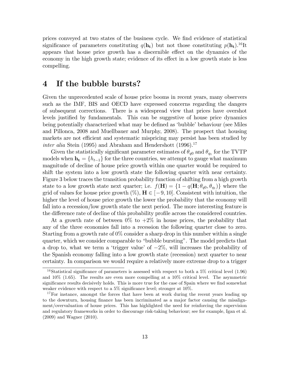prices conveyed at two states of the business cycle. We find evidence of statistical significance of parameters constituting  $q(\mathbf{h_t})$  but not those constituting  $p(\mathbf{h_t})$ .<sup>16</sup>It appears that house price growth has a discernible effect on the dynamics of the economy in the high growth state; evidence of its effect in a low growth state is less compelling.

## 4 If the bubble bursts?

Given the unprecedented scale of house price booms in recent years, many observers such as the IMF, BIS and OECD have expressed concerns regarding the dangers of subsequent corrections. There is a widespread view that prices have overshot levels justified by fundamentals. This can be suggestive of house price dynamics being potentially characterized what may be defined as 'bubble' behaviour (see Miles and Pillonca, 2008 and Muellbauer and Murphy, 2008). The prospect that housing markets are not efficient and systematic mispricing may persist has been studied by *inter alia* Stein (1995) and Abraham and Hendershott (1996).<sup>17</sup>

Given the statistically significant parameter estimates of  $\theta_{q0}$  and  $\theta_{q1}$  for the TVTP models when  $\mathbf{h_t} = \{h_{t-1}\}\$  for the three countries, we attempt to gauge what maximum magnitude of decline of house price growth within one quarter would be required to shift the system into a low growth state the following quarter with near certainty. Figure 3 below traces the transition probability function of shifting from a high growth state to a low growth state next quarter; i.e.  $f(\mathbf{H}) = \{1 - q(\mathbf{H}; \theta_{q0}, \theta_{q1})\}$  where the grid of values for house price growth  $(\%)$ ,  $H \in [-9, 10]$ . Consistent with intuition, the higher the level of house price growth the lower the probability that the economy will fall into a recession/low growth state the next period. The more interesting feature is the difference rate of decline of this probability profile across the considered countries.

At a growth rate of between  $0\%$  to  $+2\%$  in house prices, the probability that any of the three economies fall into a recession the following quarter close to zero. Starting from a growth rate of  $0\%$  consider a sharp drop in this number within a single quarter, which we consider comparable to "bubble bursting". The model predicts that a drop to, what we term a 'trigger value' of  $-2\%$ , will increases the probability of the Spanish economy falling into a low growth state (recession) next quarter to near certainty. In comparison we would require a relatively more extreme drop to a trigger

<sup>&</sup>lt;sup>16</sup>Statistical significance of parameters is assessed with respect to both a 5\% critical level  $(1.96)$ and  $10\%$  (1.65). The results are even more compelling at a  $10\%$  critical level. The asymmetric significance results decisively holds. This is more true for the case of Spain where we find somewhat weaker evidence with respect to a  $5\%$  significance level; stronger at  $10\%$ .

<sup>&</sup>lt;sup>17</sup>For instance, amongst the forces that have been at work during the recent years leading up to the downturn, housing finance has been incriminated as a major factor causing the misalignment/overvaluation of house prices. This has highlighted the need for reinforcing the supervision and regulatory frameworks in order to discourage risk-taking behaviour; see for example, Igan et al. (2009) and Wagner (2010).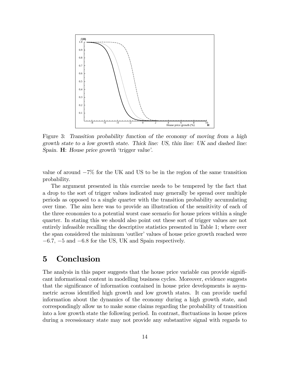

Figure 3: Transition probability function of the economy of moving from a high growth state to a low growth state. Thick line: US, thin line: UK and dashed line: Spain. H: House price growth 'trigger value'.

value of around  $-7\%$  for the UK and US to be in the region of the same transition probability.

The argument presented in this exercise needs to be tempered by the fact that a drop to the sort of trigger values indicated may generally be spread over multiple periods as opposed to a single quarter with the transition probability accumulating over time. The aim here was to provide an illustration of the sensitivity of each of the three economies to a potential worst case scenario for house prices within a single quarter. In stating this we should also point out these sort of trigger values are not entirely infeasible recalling the descriptive statistics presented in Table 1; where over the span considered the minimum 'outlier' values of house price growth reached were  $-6.7, -5$  and  $-6.8$  for the US, UK and Spain respectively.

## 5 Conclusion

The analysis in this paper suggests that the house price variable can provide significant informational content in modelling business cycles. Moreover, evidence suggests that the significance of information contained in house price developments is asymmetric across identified high growth and low growth states. It can provide useful information about the dynamics of the economy during a high growth state, and correspondingly allow us to make some claims regarding the probability of transition into a low growth state the following period. In contrast, fluctuations in house prices during a recessionary state may not provide any substantive signal with regards to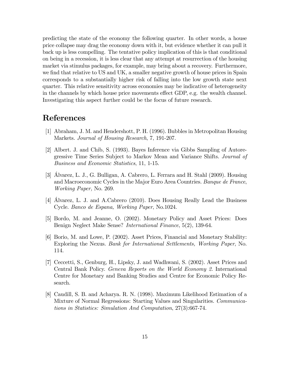predicting the state of the economy the following quarter. In other words, a house price collapse may drag the economy down with it, but evidence whether it can pull it back up is less compelling. The tentative policy implication of this is that conditional on being in a recession, it is less clear that any attempt at resurrection of the housing market via stimulus packages, for example, may bring about a recovery. Furthermore, we find that relative to US and UK, a smaller negative growth of house prices in Spain corresponds to a substantially higher risk of falling into the low growth state next quarter. This relative sensitivity across economies may be indicative of heterogeneity in the channels by which house price movements effect GDP, e.g. the wealth channel. Investigating this aspect further could be the focus of future research.

## References

- [1] Abraham, J. M. and Hendershott, P. H. (1996). Bubbles in Metropolitan Housing Markets. Journal of Housing Research, 7, 191-207.
- [2] Albert. J. and Chib, S. (1993). Bayes Inference via Gibbs Sampling of Autoregressive Time Series Subject to Markov Mean and Variance Shifts. Journal of Business and Economic Statistics, 11, 1-15.
- [3] £lvarez, L. J., G. Bulligan, A. Cabrero, L. Ferrara and H. Stahl (2009). Housing and Macroeconomic Cycles in the Major Euro Area Countries. Banque de France, Working Paper, No. 269.
- [4] £lvarez, L. J. and A.Cabrero (2010). Does Housing Really Lead the Business Cycle. Banco de Espana, Working Paper, No.1024.
- [5] Bordo, M. and Jeanne, O. (2002). Monetary Policy and Asset Prices: Does Benign Neglect Make Sense? International Finance, 5(2), 139-64.
- [6] Borio, M. and Lowe, P. (2002). Asset Prices, Financial and Monetary Stability: Exploring the Nexus. Bank for International Settlements, Working Paper, No. 114.
- [7] Ceccetti, S., Genburg, H., Lipsky, J. and Wadhwani, S. (2002). Asset Prices and Central Bank Policy. Geneva Reports on the World Economy 2. International Centre for Monetary and Banking Studies and Centre for Economic Policy Research.
- [8] Caudill, S. B. and Acharya. R. N. (1998). Maximum Likelihood Estimation of a Mixture of Normal Regressions: Starting Values and Singularities. Communications in Statistics: Simulation And Computation, 27(3):667-74.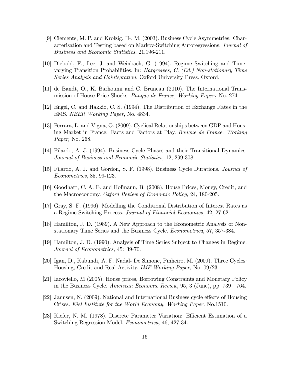- [9] Clements, M. P. and Krolzig, H-. M. (2003). Business Cycle Asymmetries: Characterisation and Testing based on Markov-Switching Autoregressions. Journal of Business and Economic Statistics, 21,196-211.
- [10] Diebold, F., Lee, J. and Weinbach, G. (1994). Regime Switching and Timevarying Transition Probabilities. In: Hargreaves, C. (Ed.) Non-stationary Time Series Analysis and Cointegration. Oxford University Press. Oxford.
- [11] de Bandt, O., K. Barhoumi and C. Bruneau (2010). The International Transmission of House Price Shocks. Banque de France, Working Paper, No. 274.
- [12] Engel, C. and Hakkio, C. S. (1994). The Distribution of Exchange Rates in the EMS. NBER Working Paper, No. 4834.
- [13] Ferrara, L. and Vigna, O. (2009). Cyclical Relationships between GDP and Housing Market in France: Facts and Factors at Play. Banque de France, Working Paper, No. 268.
- [14] Filardo, A. J. (1994). Business Cycle Phases and their Transitional Dynamics. Journal of Business and Economic Statistics, 12, 299-308.
- [15] Filardo, A. J. and Gordon, S. F. (1998). Business Cycle Durations. *Journal of* Econometrics, 85, 99-123.
- [16] Goodhart, C. A. E. and Hofmann, B. (2008). House Prices, Money, Credit, and the Macroeconomy. Oxford Review of Economic Policy, 24, 180-205.
- [17] Gray, S. F. (1996). Modelling the Conditional Distribution of Interest Rates as a Regime-Switching Process. Journal of Financial Economics, 42, 27-62.
- [18] Hamilton, J. D. (1989). A New Approach to the Econometric Analysis of Nonstationary Time Series and the Business Cycle. Econometrica, 57, 357-384.
- [19] Hamilton, J. D. (1990). Analysis of Time Series Subject to Changes in Regime. Journal of Econometrics, 45: 39-70.
- [20] Igan, D., Kabundi, A. F. Nadal- De Simone, Pinheiro, M. (2009). Three Cycles: Housing, Credit and Real Activity. IMF Working Paper, No. 09/23.
- [21] Iacoviello, M (2005). House prices, Borrowing Constraints and Monetary Policy in the Business Cycle. American Economic Review, 95, 3 (June), pp.  $739-764$ .
- $[22]$  Jannsen, N. (2009). National and International Business cycle effects of Housing Crises. Kiel Institute for the World Economy, Working Paper, No.1510.
- [23] Kiefer, N. M. (1978). Discrete Parameter Variation: Efficient Estimation of a Switching Regression Model. Econometrica, 46, 427-34.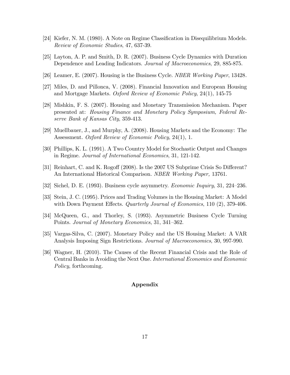- [24] Kiefer, N. M. (1980). A Note on Regime Classification in Disequilibrium Models. Review of Economic Studies, 47, 637-39.
- [25] Layton, A. P. and Smith, D. R. (2007). Business Cycle Dynamics with Duration Dependence and Leading Indicators. Journal of Macroeconomics, 29, 885-875.
- [26] Leamer, E. (2007). Housing is the Business Cycle. NBER Working Paper, 13428.
- [27] Miles, D. and Pillonca, V. (2008). Financial Innovation and European Housing and Mortgage Markets. Oxford Review of Economic Policy, 24(1), 145-75
- [28] Mishkin, F. S. (2007). Housing and Monetary Transmission Mechanism. Paper presented at: Housing Finance and Monetary Policy Symposium, Federal Reserve Bank of Kansas City, 359-413.
- [29] Muellbauer, J., and Murphy, A. (2008). Housing Markets and the Economy: The Assessment. Oxford Review of Economic Policy, 24(1), 1.
- [30] Phillips, K. L. (1991). A Two Country Model for Stochastic Output and Changes in Regime. Journal of International Economics, 31, 121-142.
- [31] Reinhart, C. and K. Rogoff  $(2008)$ . Is the 2007 US Subprime Crisis So Different? An International Historical Comparison. NBER Working Paper, 13761.
- [32] Sichel, D. E. (1993). Business cycle asymmetry. *Economic Inquiry*, 31, 224–236.
- [33] Stein, J. C. (1995). Prices and Trading Volumes in the Housing Market: A Model with Down Payment Effects. Quarterly Journal of Economics,  $110$  (2), 379-406.
- [34] McQueen, G., and Thorley, S. (1993). Asymmetric Business Cycle Turning Points. Journal of Monetary Economics, 31, 341–362.
- [35] Vargas-Silva, C. (2007). Monetary Policy and the US Housing Market: A VAR Analysis Imposing Sign Restrictions. Journal of Macroeconomics, 30, 997-990.
- [36] Wagner, H. (2010). The Causes of the Recent Financial Crisis and the Role of Central Banks in Avoiding the Next One. International Economics and Economic Policy, forthcoming.

#### Appendix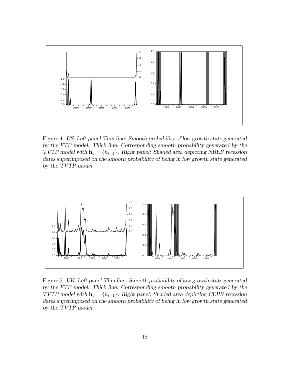

Figure 4: US. Left panel-Thin line: Smooth probability of low growth state generated by the FTP model. Thick line: Corresponding smooth probability generated by the TVTP model with  $\mathbf{h_t} = \{h_{t-1}\}\$ . Right panel: Shaded area depicting NBER recession dates superimposed on the smooth probability of being in low growth state generated by the TVTP model.



Figure 5: UK. Left panel-Thin line: Smooth probability of low growth state generated by the FTP model. Thick line: Corresponding smooth probability generated by the TVTP model with  $\mathbf{h_t} = \{h_{t-1}\}\$ . Right panel: Shaded area depicting CEPR recession dates superimposed on the smooth probability of being in low growth state generated by the TVTP model.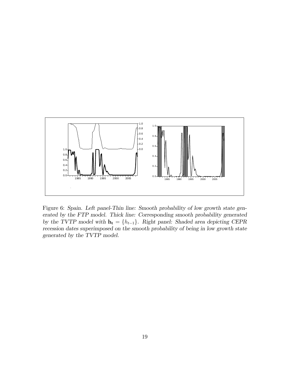

Figure 6: Spain. Left panel-Thin line: Smooth probability of low growth state generated by the FTP model. Thick line: Corresponding smooth probability generated by the TVTP model with  $\mathbf{h_t} = \{h_{t-1}\}$ . Right panel: Shaded area depicting CEPR recession dates superimposed on the smooth probability of being in low growth state generated by the TVTP model.